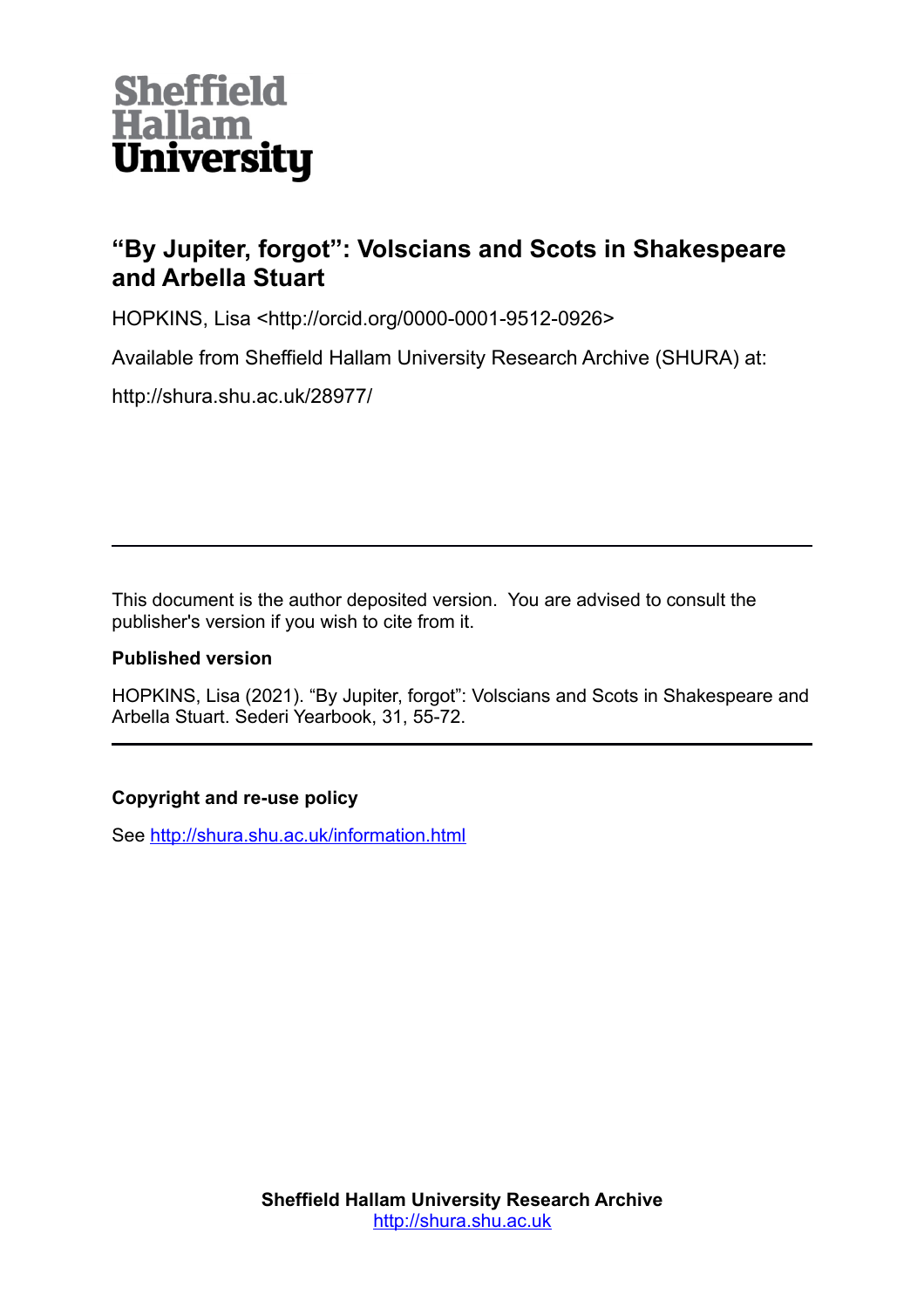

# **"By Jupiter, forgot": Volscians and Scots in Shakespeare and Arbella Stuart**

HOPKINS, Lisa <http://orcid.org/0000-0001-9512-0926>

Available from Sheffield Hallam University Research Archive (SHURA) at:

http://shura.shu.ac.uk/28977/

This document is the author deposited version. You are advised to consult the publisher's version if you wish to cite from it.

### **Published version**

HOPKINS, Lisa (2021). "By Jupiter, forgot": Volscians and Scots in Shakespeare and Arbella Stuart. Sederi Yearbook, 31, 55-72.

## **Copyright and re-use policy**

See<http://shura.shu.ac.uk/information.html>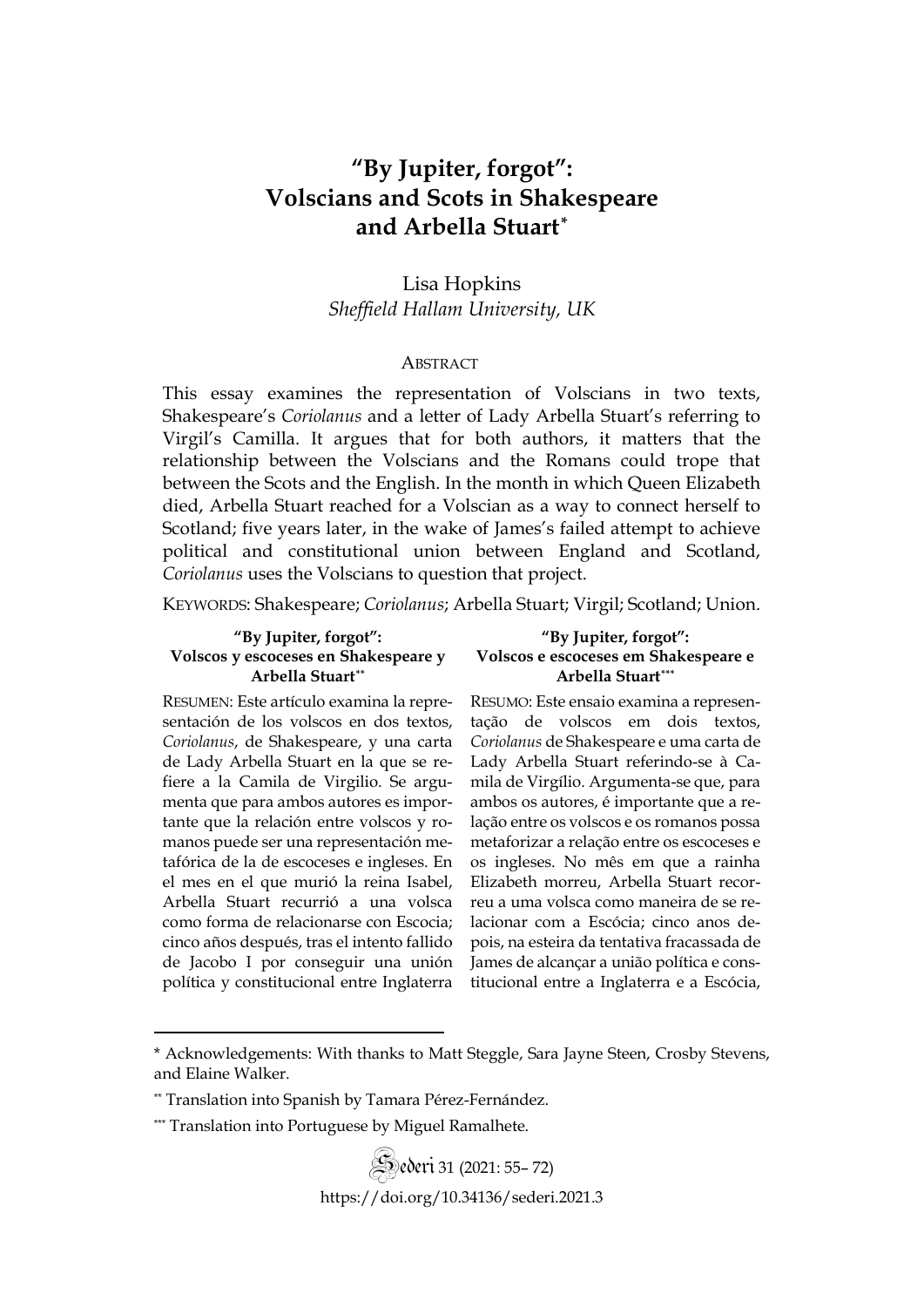### **"By Jupiter, forgot": Volscians and Scots in Shakespeare and Arbella Stuart[\\*](#page-1-0)**

### Lisa Hopkins *Sheffield Hallam University, UK*

#### **ABSTRACT**

This essay examines the representation of Volscians in two texts, Shakespeare's *Coriolanus* and a letter of Lady Arbella Stuart's referring to Virgil's Camilla. It argues that for both authors, it matters that the relationship between the Volscians and the Romans could trope that between the Scots and the English. In the month in which Queen Elizabeth died, Arbella Stuart reached for a Volscian as a way to connect herself to Scotland; five years later, in the wake of James's failed attempt to achieve political and constitutional union between England and Scotland, *Coriolanus* uses the Volscians to question that project.

KEYWORDS: Shakespeare; *Coriolanus*; Arbella Stuart; Virgil; Scotland; Union.

#### **"By Jupiter, forgot": Volscos y escoceses en Shakespeare y Arbella Stuart[\\*\\*](#page-1-1)**

**"By Jupiter, forgot": Volscos e escoceses em Shakespeare e Arbella Stuar[t\\*\\*\\*](#page-1-2)**

RESUMEN: Este artículo examina la representación de los volscos en dos textos, *Coriolanus*, de Shakespeare, y una carta de Lady Arbella Stuart en la que se refiere a la Camila de Virgilio. Se argumenta que para ambos autores es importante que la relación entre volscos y romanos puede ser una representación metafórica de la de escoceses e ingleses. En el mes en el que murió la reina Isabel, Arbella Stuart recurrió a una volsca como forma de relacionarse con Escocia; cinco años después, tras el intento fallido de Jacobo I por conseguir una unión política y constitucional entre Inglaterra RESUMO: Este ensaio examina a representação de volscos em dois textos, *Coriolanus* de Shakespeare e uma carta de Lady Arbella Stuart referindo-se à Camila de Virgílio. Argumenta-se que, para ambos os autores, é importante que a relação entre os volscos e os romanos possa metaforizar a relação entre os escoceses e os ingleses. No mês em que a rainha Elizabeth morreu, Arbella Stuart recorreu a uma volsca como maneira de se relacionar com a Escócia; cinco anos depois, na esteira da tentativa fracassada de James de alcançar a união política e constitucional entre a Inglaterra e a Escócia,

Sederi <sup>31</sup> (2021: 55– 72) <https://doi.org/10.34136/sederi.2021.3>

<span id="page-1-0"></span><sup>\*</sup> Acknowledgements: With thanks to Matt Steggle, Sara Jayne Steen, Crosby Stevens, and Elaine Walker.

<span id="page-1-1"></span><sup>\*\*</sup> Translation into Spanish by Tamara Pérez-Fernández.

<span id="page-1-2"></span><sup>\*\*\*</sup> Translation into Portuguese by Miguel Ramalhete.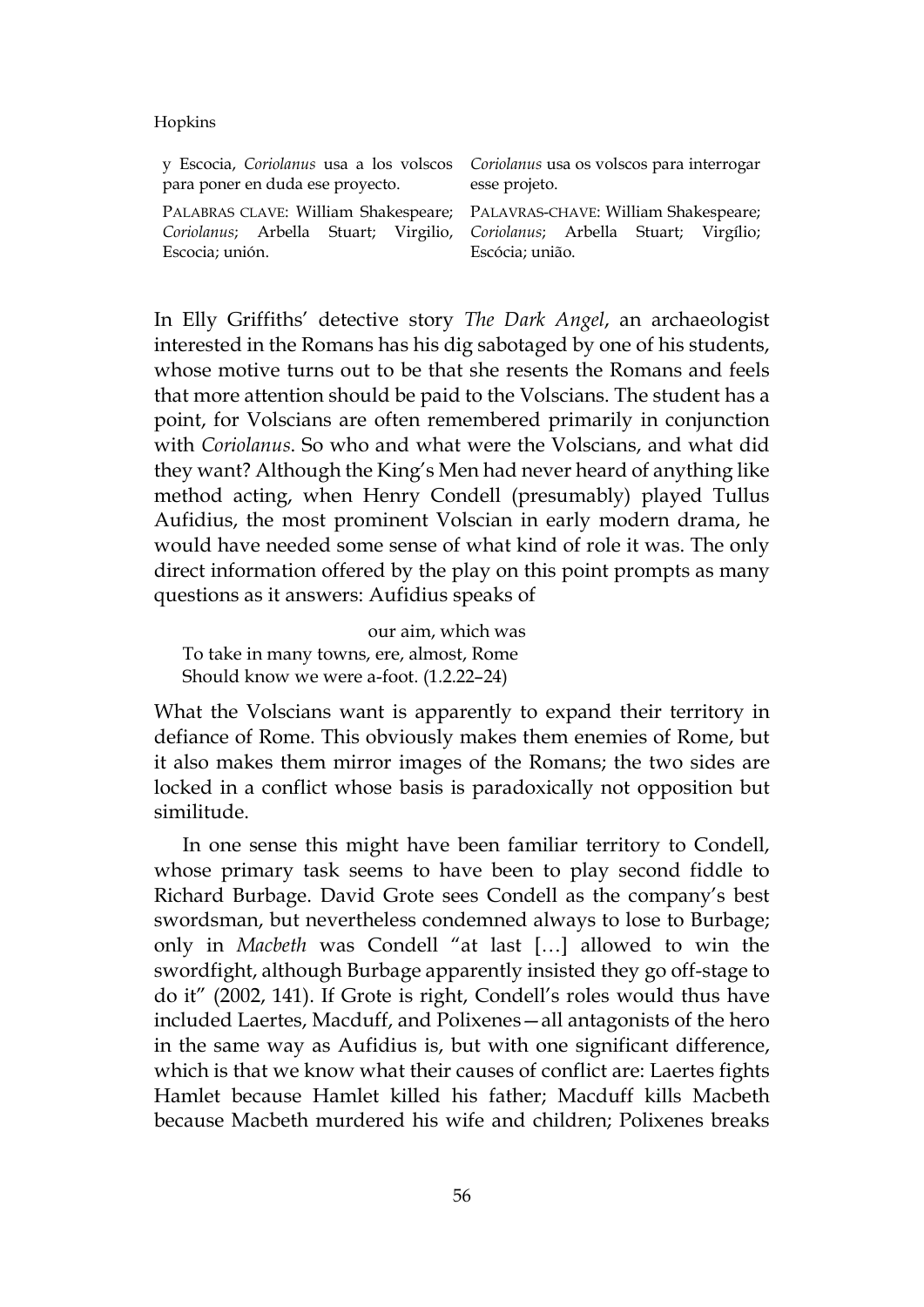y Escocia, *Coriolanus* usa a los volscos para poner en duda ese proyecto. PALABRAS CLAVE: William Shakespeare; *Coriolanus*; Arbella Stuart; Virgilio, Escocia; unión. *Coriolanus* usa os volscos para interrogar esse projeto. PALAVRAS-CHAVE: William Shakespeare; *Coriolanus*; Arbella Stuart; Virgílio; Escócia; união.

In Elly Griffiths' detective story *The Dark Angel*, an archaeologist interested in the Romans has his dig sabotaged by one of his students, whose motive turns out to be that she resents the Romans and feels that more attention should be paid to the Volscians. The student has a point, for Volscians are often remembered primarily in conjunction with *Coriolanus*. So who and what were the Volscians, and what did they want? Although the King's Men had never heard of anything like method acting, when Henry Condell (presumably) played Tullus Aufidius, the most prominent Volscian in early modern drama, he would have needed some sense of what kind of role it was. The only direct information offered by the play on this point prompts as many questions as it answers: Aufidius speaks of

our aim, which was To take in many towns, ere, almost, Rome Should know we were a-foot. (1.2.22–24)

What the Volscians want is apparently to expand their territory in defiance of Rome. This obviously makes them enemies of Rome, but it also makes them mirror images of the Romans; the two sides are locked in a conflict whose basis is paradoxically not opposition but similitude.

In one sense this might have been familiar territory to Condell, whose primary task seems to have been to play second fiddle to Richard Burbage. David Grote sees Condell as the company's best swordsman, but nevertheless condemned always to lose to Burbage; only in *Macbeth* was Condell "at last […] allowed to win the swordfight, although Burbage apparently insisted they go off-stage to do it" (2002, 141). If Grote is right, Condell's roles would thus have included Laertes, Macduff, and Polixenes—all antagonists of the hero in the same way as Aufidius is, but with one significant difference, which is that we know what their causes of conflict are: Laertes fights Hamlet because Hamlet killed his father; Macduff kills Macbeth because Macbeth murdered his wife and children; Polixenes breaks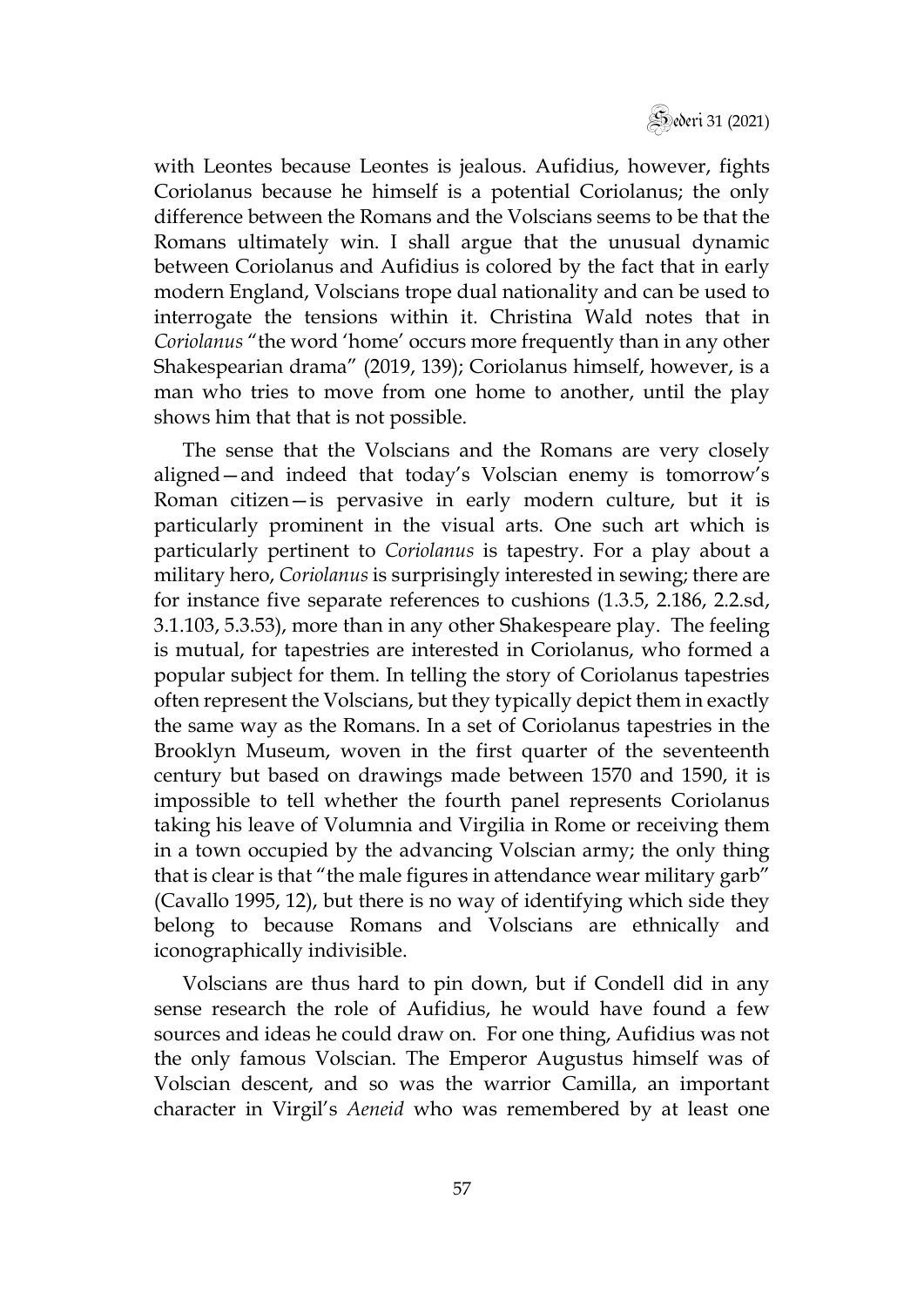

with Leontes because Leontes is jealous. Aufidius, however, fights Coriolanus because he himself is a potential Coriolanus; the only difference between the Romans and the Volscians seems to be that the Romans ultimately win. I shall argue that the unusual dynamic between Coriolanus and Aufidius is colored by the fact that in early modern England, Volscians trope dual nationality and can be used to interrogate the tensions within it. Christina Wald notes that in *Coriolanus* "the word 'home' occurs more frequently than in any other Shakespearian drama" (2019, 139); Coriolanus himself, however, is a man who tries to move from one home to another, until the play shows him that that is not possible.

The sense that the Volscians and the Romans are very closely aligned—and indeed that today's Volscian enemy is tomorrow's Roman citizen—is pervasive in early modern culture, but it is particularly prominent in the visual arts. One such art which is particularly pertinent to *Coriolanus* is tapestry. For a play about a military hero, *Coriolanus* is surprisingly interested in sewing; there are for instance five separate references to cushions (1.3.5, 2.186, 2.2.sd, 3.1.103, 5.3.53), more than in any other Shakespeare play. The feeling is mutual, for tapestries are interested in Coriolanus, who formed a popular subject for them. In telling the story of Coriolanus tapestries often represent the Volscians, but they typically depict them in exactly the same way as the Romans. In a set of Coriolanus tapestries in the Brooklyn Museum, woven in the first quarter of the seventeenth century but based on drawings made between 1570 and 1590, it is impossible to tell whether the fourth panel represents Coriolanus taking his leave of Volumnia and Virgilia in Rome or receiving them in a town occupied by the advancing Volscian army; the only thing that is clear is that "the male figures in attendance wear military garb" (Cavallo 1995, 12), but there is no way of identifying which side they belong to because Romans and Volscians are ethnically and iconographically indivisible.

Volscians are thus hard to pin down, but if Condell did in any sense research the role of Aufidius, he would have found a few sources and ideas he could draw on. For one thing, Aufidius was not the only famous Volscian. The Emperor Augustus himself was of Volscian descent, and so was the warrior Camilla, an important character in Virgil's *Aeneid* who was remembered by at least one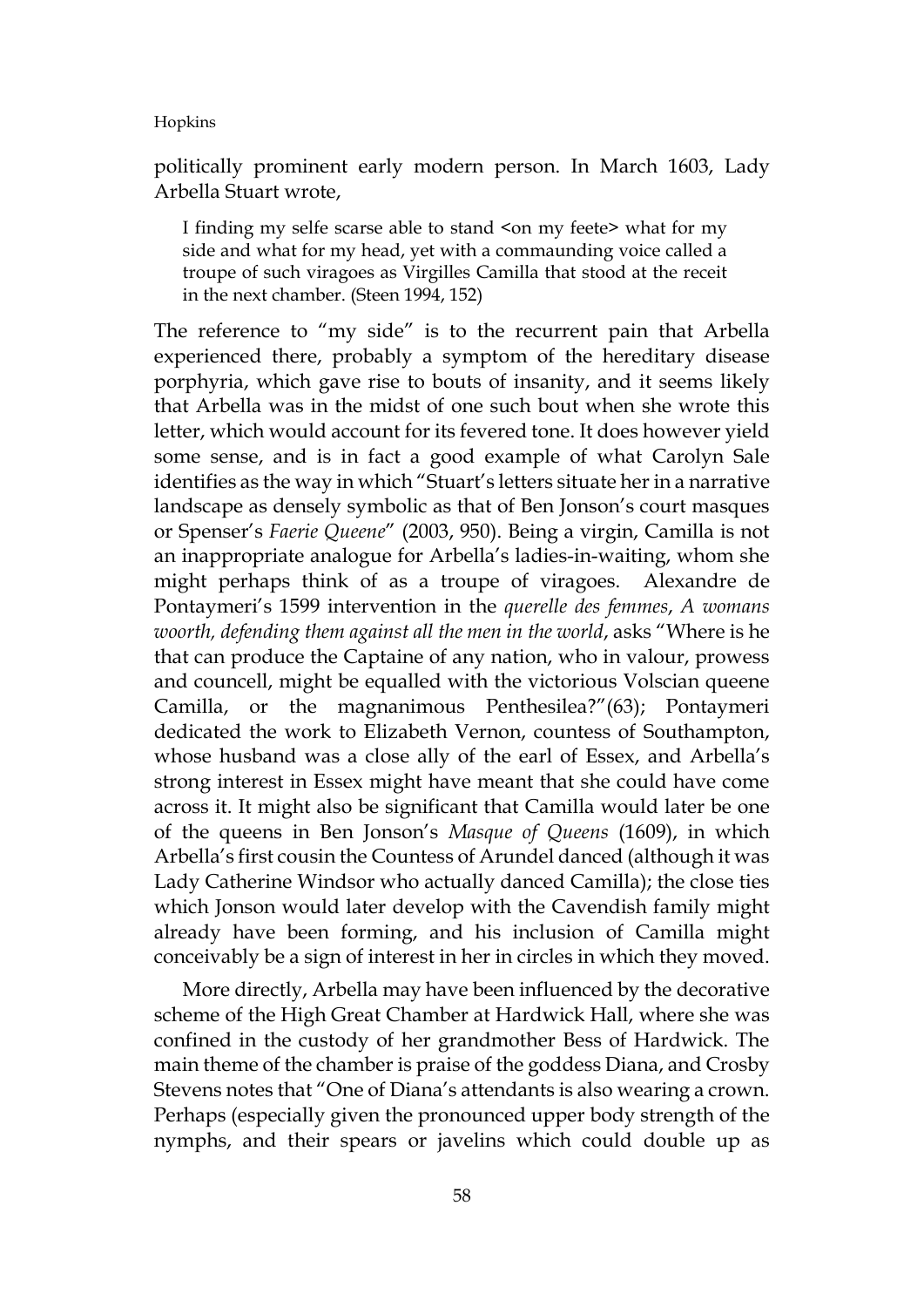politically prominent early modern person. In March 1603, Lady Arbella Stuart wrote,

I finding my selfe scarse able to stand <on my feete> what for my side and what for my head, yet with a commaunding voice called a troupe of such viragoes as Virgilles Camilla that stood at the receit in the next chamber. (Steen 1994, 152)

The reference to "my side" is to the recurrent pain that Arbella experienced there, probably a symptom of the hereditary disease porphyria, which gave rise to bouts of insanity, and it seems likely that Arbella was in the midst of one such bout when she wrote this letter, which would account for its fevered tone. It does however yield some sense, and is in fact a good example of what Carolyn Sale identifies as the way in which "Stuart's letters situate her in a narrative landscape as densely symbolic as that of Ben Jonson's court masques or Spenser's *Faerie Queene*" (2003, 950). Being a virgin, Camilla is not an inappropriate analogue for Arbella's ladies-in-waiting, whom she might perhaps think of as a troupe of viragoes. Alexandre de Pontaymeri's 1599 intervention in the *querelle des femmes*, *A womans woorth, defending them against all the men in the world*, asks "Where is he that can produce the Captaine of any nation, who in valour, prowess and councell, might be equalled with the victorious Volscian queene Camilla, or the magnanimous Penthesilea?"(63); Pontaymeri dedicated the work to Elizabeth Vernon, countess of Southampton, whose husband was a close ally of the earl of Essex, and Arbella's strong interest in Essex might have meant that she could have come across it. It might also be significant that Camilla would later be one of the queens in Ben Jonson's *Masque of Queens* (1609), in which Arbella's first cousin the Countess of Arundel danced (although it was Lady Catherine Windsor who actually danced Camilla); the close ties which Jonson would later develop with the Cavendish family might already have been forming, and his inclusion of Camilla might conceivably be a sign of interest in her in circles in which they moved.

More directly, Arbella may have been influenced by the decorative scheme of the High Great Chamber at Hardwick Hall, where she was confined in the custody of her grandmother Bess of Hardwick. The main theme of the chamber is praise of the goddess Diana, and Crosby Stevens notes that "One of Diana's attendants is also wearing a crown. Perhaps (especially given the pronounced upper body strength of the nymphs, and their spears or javelins which could double up as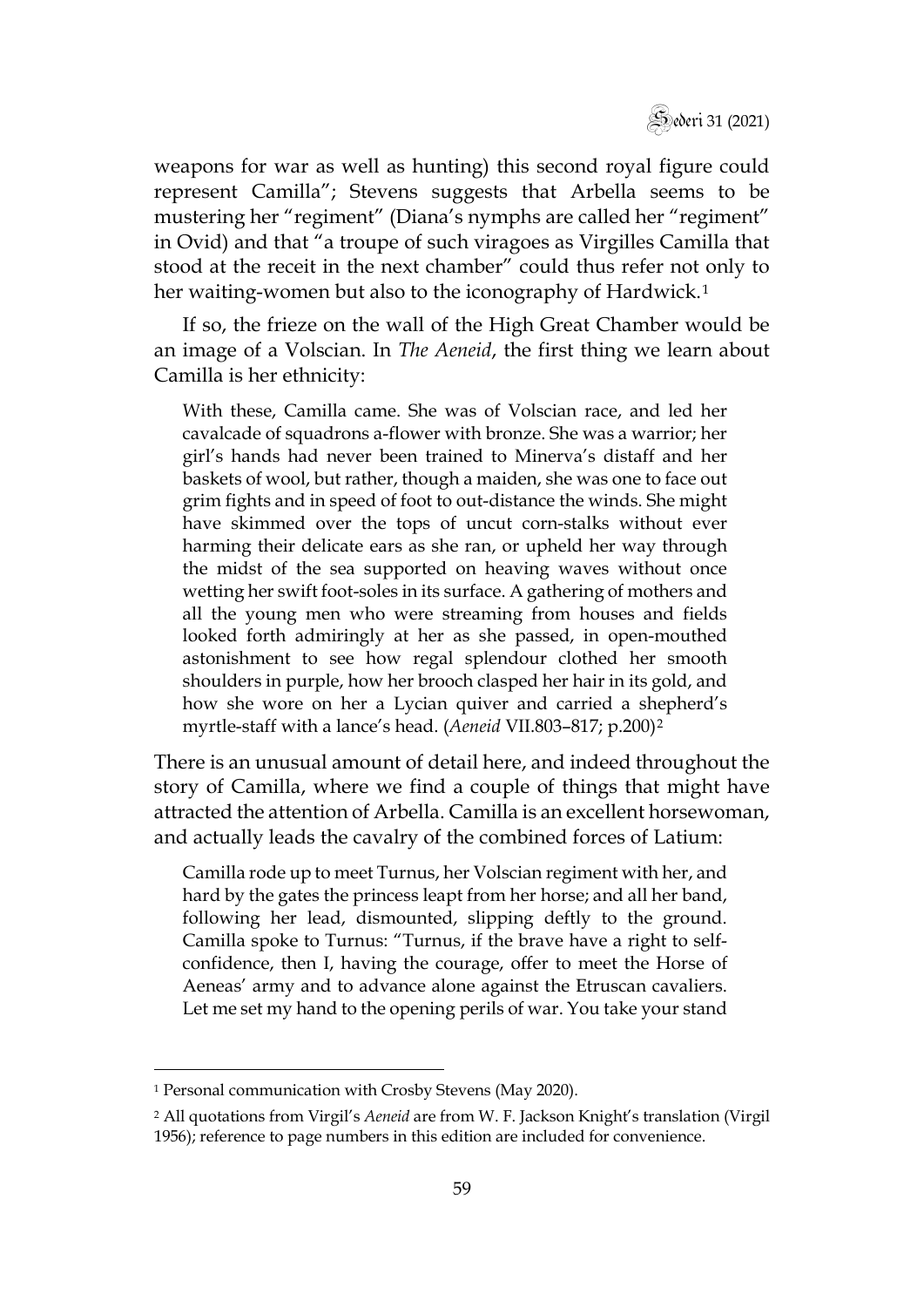

weapons for war as well as hunting) this second royal figure could represent Camilla"; Stevens suggests that Arbella seems to be mustering her "regiment" (Diana's nymphs are called her "regiment" in Ovid) and that "a troupe of such viragoes as Virgilles Camilla that stood at the receit in the next chamber" could thus refer not only to her waiting-women but also to the iconography of Hardwick.<sup>[1](#page-5-0)</sup>

If so, the frieze on the wall of the High Great Chamber would be an image of a Volscian. In *The Aeneid*, the first thing we learn about Camilla is her ethnicity:

With these, Camilla came. She was of Volscian race, and led her cavalcade of squadrons a-flower with bronze. She was a warrior; her girl's hands had never been trained to Minerva's distaff and her baskets of wool, but rather, though a maiden, she was one to face out grim fights and in speed of foot to out-distance the winds. She might have skimmed over the tops of uncut corn-stalks without ever harming their delicate ears as she ran, or upheld her way through the midst of the sea supported on heaving waves without once wetting her swift foot-soles in its surface. A gathering of mothers and all the young men who were streaming from houses and fields looked forth admiringly at her as she passed, in open-mouthed astonishment to see how regal splendour clothed her smooth shoulders in purple, how her brooch clasped her hair in its gold, and how she wore on her a Lycian quiver and carried a shepherd's myrtle-staff with a lance's head. (*Aeneid* VII.803–817; p.200)[2](#page-5-1)

There is an unusual amount of detail here, and indeed throughout the story of Camilla, where we find a couple of things that might have attracted the attention of Arbella. Camilla is an excellent horsewoman, and actually leads the cavalry of the combined forces of Latium:

Camilla rode up to meet Turnus, her Volscian regiment with her, and hard by the gates the princess leapt from her horse; and all her band, following her lead, dismounted, slipping deftly to the ground. Camilla spoke to Turnus: "Turnus, if the brave have a right to selfconfidence, then I, having the courage, offer to meet the Horse of Aeneas' army and to advance alone against the Etruscan cavaliers. Let me set my hand to the opening perils of war. You take your stand

<span id="page-5-0"></span><sup>&</sup>lt;sup>1</sup> Personal communication with Crosby Stevens (May 2020).

<span id="page-5-1"></span><sup>2</sup> All quotations from Virgil's *Aeneid* are from W. F. Jackson Knight's translation (Virgil 1956); reference to page numbers in this edition are included for convenience.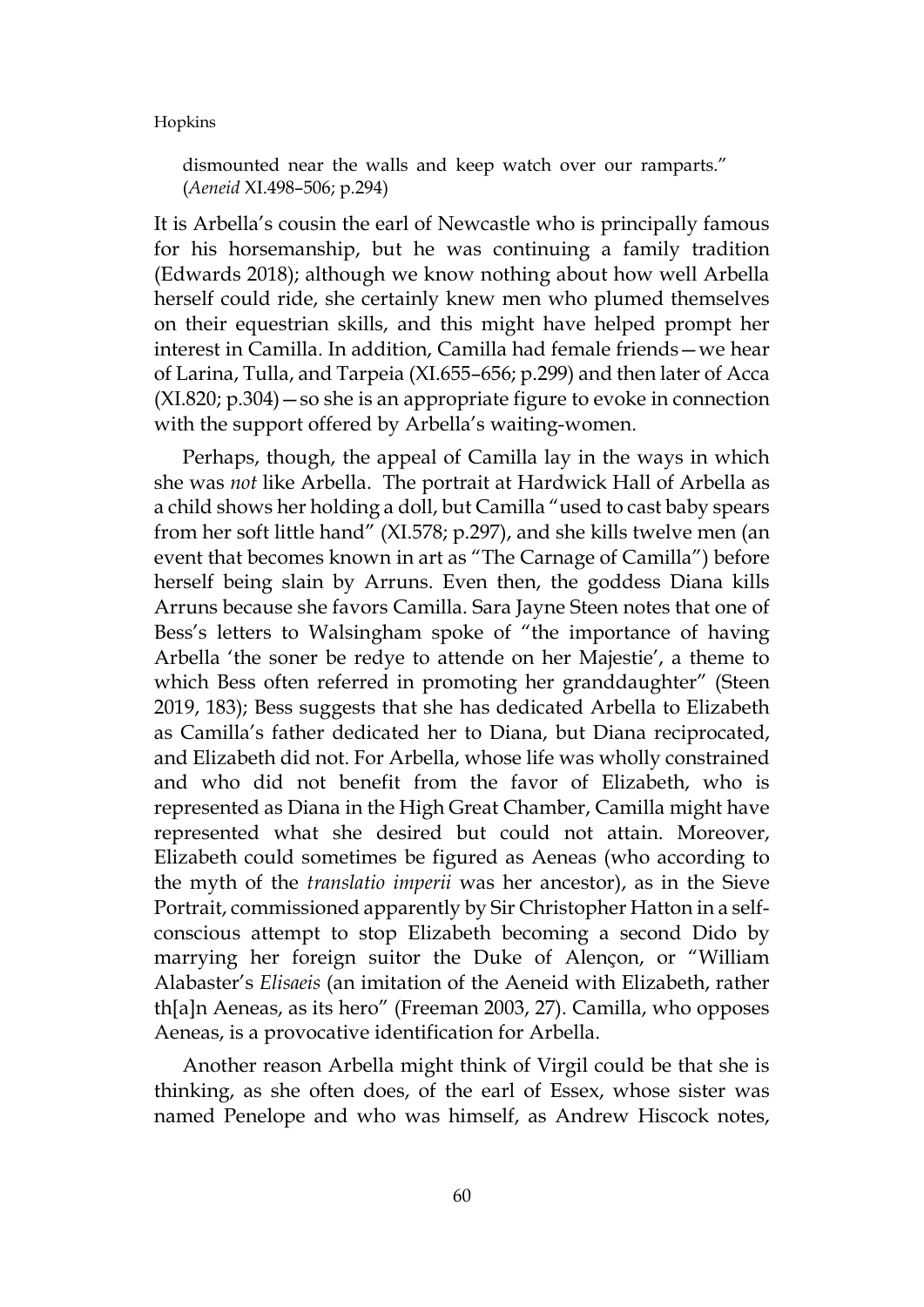dismounted near the walls and keep watch over our ramparts." (*Aeneid* XI.498–506; p.294)

It is Arbella's cousin the earl of Newcastle who is principally famous for his horsemanship, but he was continuing a family tradition (Edwards 2018); although we know nothing about how well Arbella herself could ride, she certainly knew men who plumed themselves on their equestrian skills, and this might have helped prompt her interest in Camilla. In addition, Camilla had female friends—we hear of Larina, Tulla, and Tarpeia (XI.655–656; p.299) and then later of Acca (XI.820; p.304)—so she is an appropriate figure to evoke in connection with the support offered by Arbella's waiting-women.

Perhaps, though, the appeal of Camilla lay in the ways in which she was *not* like Arbella. The portrait at Hardwick Hall of Arbella as a child shows her holding a doll, but Camilla "used to cast baby spears from her soft little hand" (XI.578; p.297), and she kills twelve men (an event that becomes known in art as "The Carnage of Camilla") before herself being slain by Arruns. Even then, the goddess Diana kills Arruns because she favors Camilla. Sara Jayne Steen notes that one of Bess's letters to Walsingham spoke of "the importance of having Arbella 'the soner be redye to attende on her Majestie', a theme to which Bess often referred in promoting her granddaughter" (Steen 2019, 183); Bess suggests that she has dedicated Arbella to Elizabeth as Camilla's father dedicated her to Diana, but Diana reciprocated, and Elizabeth did not. For Arbella, whose life was wholly constrained and who did not benefit from the favor of Elizabeth, who is represented as Diana in the High Great Chamber, Camilla might have represented what she desired but could not attain. Moreover, Elizabeth could sometimes be figured as Aeneas (who according to the myth of the *translatio imperii* was her ancestor), as in the Sieve Portrait, commissioned apparently by Sir Christopher Hatton in a selfconscious attempt to stop Elizabeth becoming a second Dido by marrying her foreign suitor the Duke of Alençon, or "William Alabaster's *Elisaeis* (an imitation of the Aeneid with Elizabeth, rather th[a]n Aeneas, as its hero" (Freeman 2003, 27). Camilla, who opposes Aeneas, is a provocative identification for Arbella.

Another reason Arbella might think of Virgil could be that she is thinking, as she often does, of the earl of Essex, whose sister was named Penelope and who was himself, as Andrew Hiscock notes,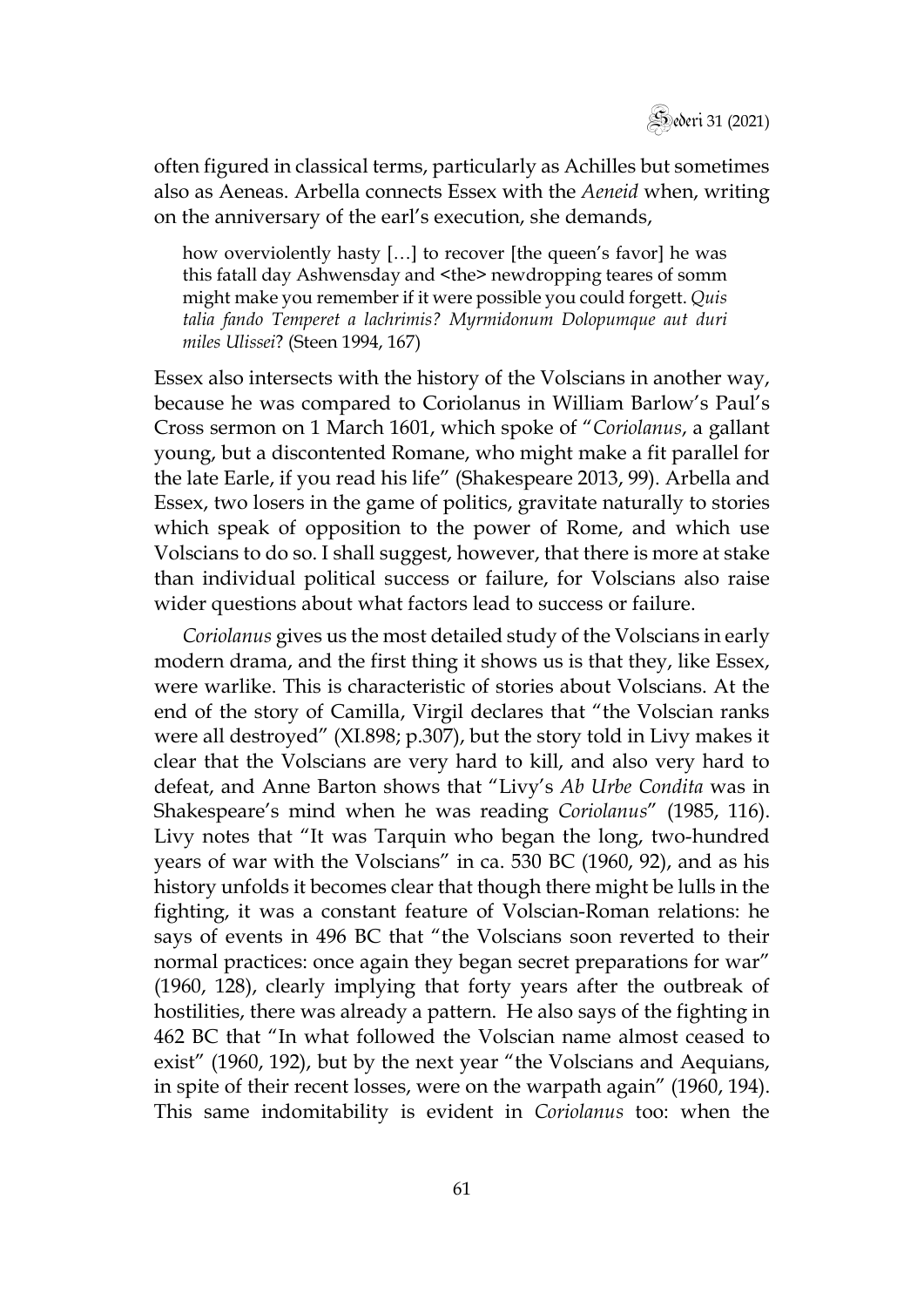

often figured in classical terms, particularly as Achilles but sometimes also as Aeneas. Arbella connects Essex with the *Aeneid* when, writing on the anniversary of the earl's execution, she demands,

how overviolently hasty […] to recover [the queen's favor] he was this fatall day Ashwensday and <the> newdropping teares of somm might make you remember if it were possible you could forgett. *Quis talia fando Temperet a lachrimis? Myrmidonum Dolopumque aut duri miles Ulissei*? (Steen 1994, 167)

Essex also intersects with the history of the Volscians in another way, because he was compared to Coriolanus in William Barlow's Paul's Cross sermon on 1 March 1601, which spoke of "*Coriolanus*, a gallant young, but a discontented Romane, who might make a fit parallel for the late Earle, if you read his life" (Shakespeare 2013, 99). Arbella and Essex, two losers in the game of politics, gravitate naturally to stories which speak of opposition to the power of Rome, and which use Volscians to do so. I shall suggest, however, that there is more at stake than individual political success or failure, for Volscians also raise wider questions about what factors lead to success or failure.

*Coriolanus* gives us the most detailed study of the Volscians in early modern drama, and the first thing it shows us is that they, like Essex, were warlike. This is characteristic of stories about Volscians. At the end of the story of Camilla, Virgil declares that "the Volscian ranks were all destroyed" (XI.898; p.307), but the story told in Livy makes it clear that the Volscians are very hard to kill, and also very hard to defeat, and Anne Barton shows that "Livy's *Ab Urbe Condita* was in Shakespeare's mind when he was reading *Coriolanus*" (1985, 116). Livy notes that "It was Tarquin who began the long, two-hundred years of war with the Volscians" in ca. 530 BC (1960, 92), and as his history unfolds it becomes clear that though there might be lulls in the fighting, it was a constant feature of Volscian-Roman relations: he says of events in 496 BC that "the Volscians soon reverted to their normal practices: once again they began secret preparations for war" (1960, 128), clearly implying that forty years after the outbreak of hostilities, there was already a pattern. He also says of the fighting in 462 BC that "In what followed the Volscian name almost ceased to exist" (1960, 192), but by the next year "the Volscians and Aequians, in spite of their recent losses, were on the warpath again" (1960, 194). This same indomitability is evident in *Coriolanus* too: when the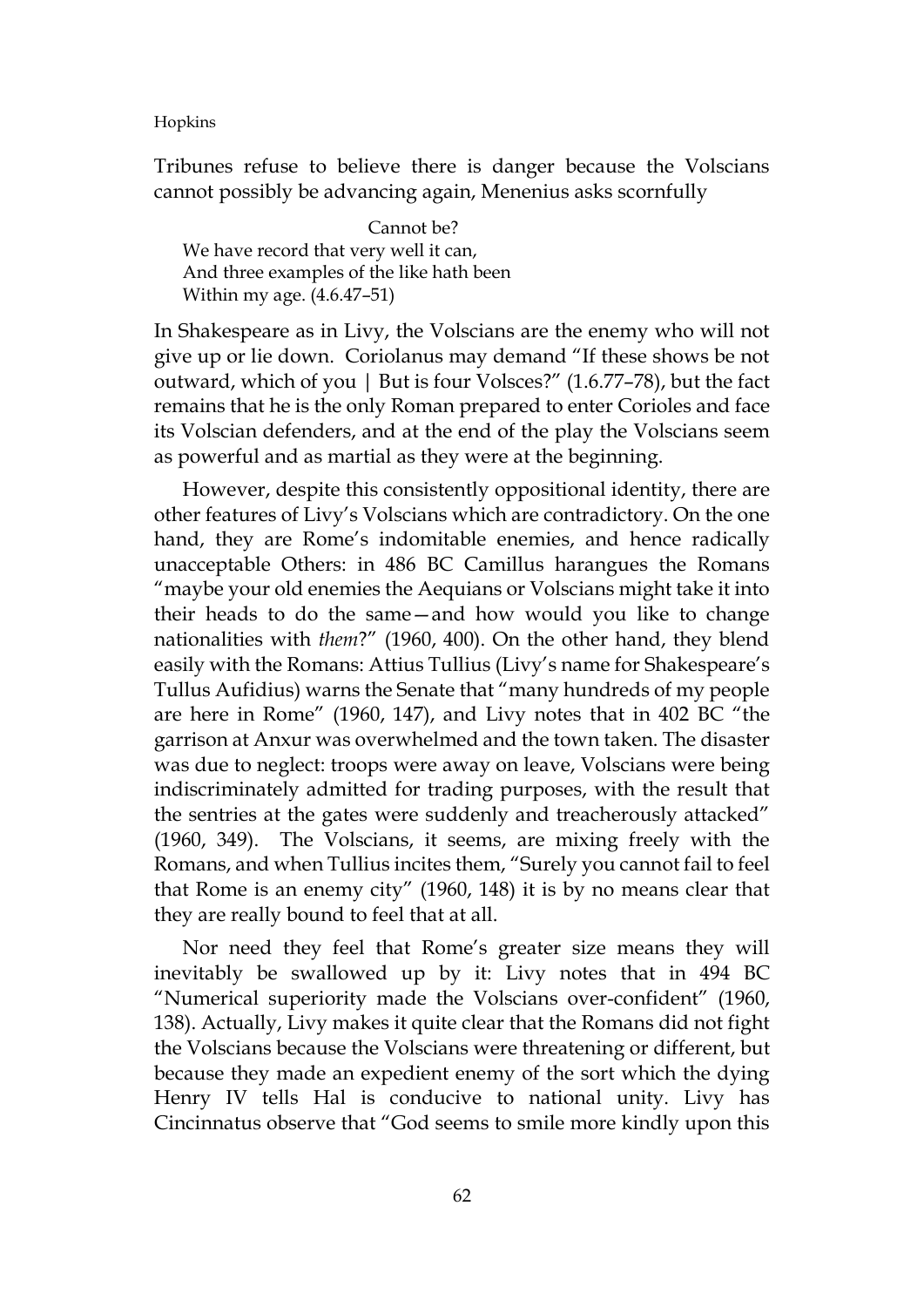Tribunes refuse to believe there is danger because the Volscians cannot possibly be advancing again, Menenius asks scornfully

Cannot be? We have record that very well it can, And three examples of the like hath been Within my age. (4.6.47–51)

In Shakespeare as in Livy, the Volscians are the enemy who will not give up or lie down. Coriolanus may demand "If these shows be not outward, which of you | But is four Volsces?" (1.6.77–78), but the fact remains that he is the only Roman prepared to enter Corioles and face its Volscian defenders, and at the end of the play the Volscians seem as powerful and as martial as they were at the beginning.

However, despite this consistently oppositional identity, there are other features of Livy's Volscians which are contradictory. On the one hand, they are Rome's indomitable enemies, and hence radically unacceptable Others: in 486 BC Camillus harangues the Romans "maybe your old enemies the Aequians or Volscians might take it into their heads to do the same—and how would you like to change nationalities with *them*?" (1960, 400). On the other hand, they blend easily with the Romans: Attius Tullius (Livy's name for Shakespeare's Tullus Aufidius) warns the Senate that "many hundreds of my people are here in Rome" (1960, 147), and Livy notes that in 402 BC "the garrison at Anxur was overwhelmed and the town taken. The disaster was due to neglect: troops were away on leave, Volscians were being indiscriminately admitted for trading purposes, with the result that the sentries at the gates were suddenly and treacherously attacked" (1960, 349). The Volscians, it seems, are mixing freely with the Romans, and when Tullius incites them, "Surely you cannot fail to feel that Rome is an enemy city" (1960, 148) it is by no means clear that they are really bound to feel that at all.

Nor need they feel that Rome's greater size means they will inevitably be swallowed up by it: Livy notes that in 494 BC "Numerical superiority made the Volscians over-confident" (1960, 138). Actually, Livy makes it quite clear that the Romans did not fight the Volscians because the Volscians were threatening or different, but because they made an expedient enemy of the sort which the dying Henry IV tells Hal is conducive to national unity. Livy has Cincinnatus observe that "God seems to smile more kindly upon this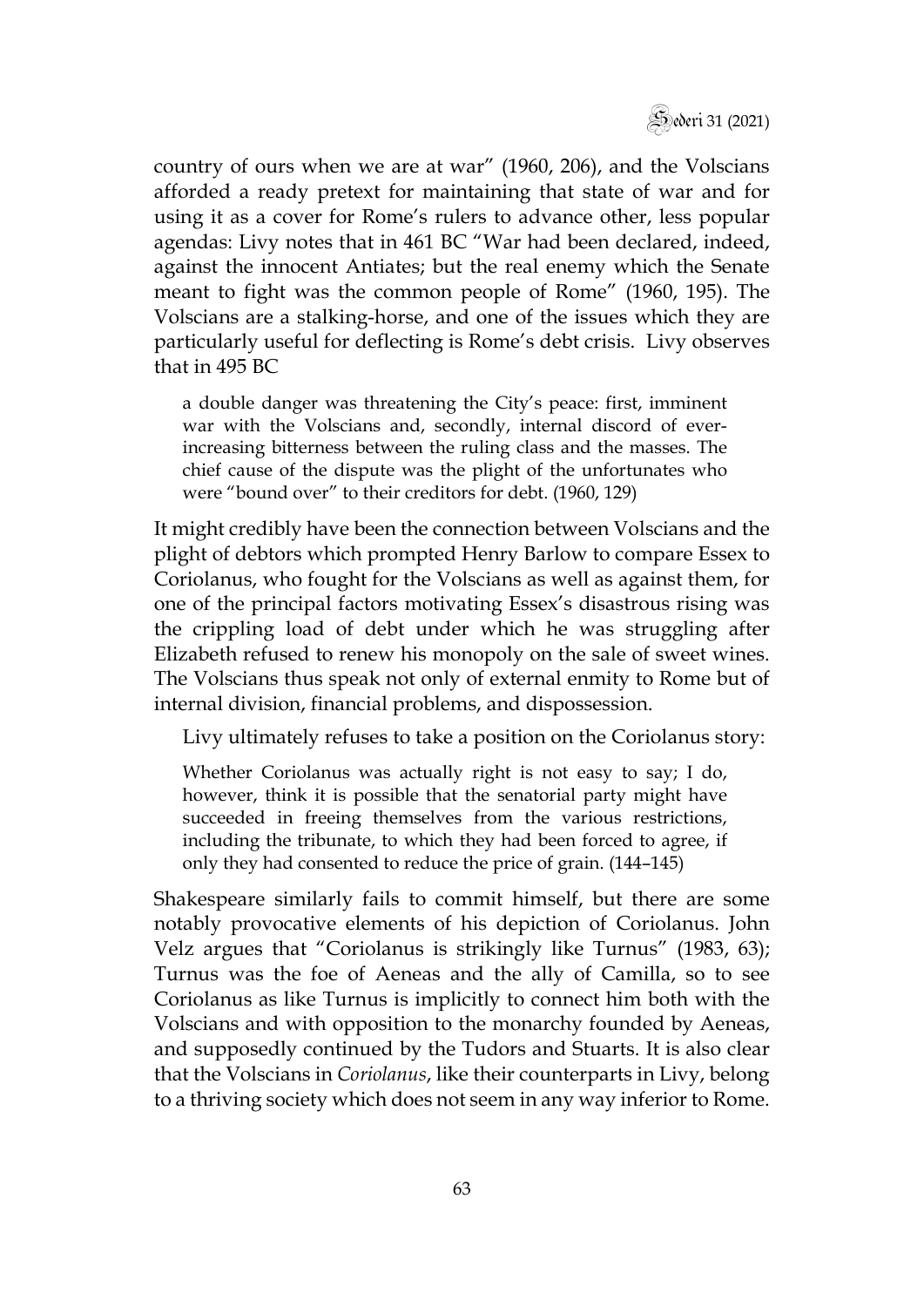

country of ours when we are at war" (1960, 206), and the Volscians afforded a ready pretext for maintaining that state of war and for using it as a cover for Rome's rulers to advance other, less popular agendas: Livy notes that in 461 BC "War had been declared, indeed, against the innocent Antiates; but the real enemy which the Senate meant to fight was the common people of Rome" (1960, 195). The Volscians are a stalking-horse, and one of the issues which they are particularly useful for deflecting is Rome's debt crisis. Livy observes that in 495 BC

a double danger was threatening the City's peace: first, imminent war with the Volscians and, secondly, internal discord of everincreasing bitterness between the ruling class and the masses. The chief cause of the dispute was the plight of the unfortunates who were "bound over" to their creditors for debt. (1960, 129)

It might credibly have been the connection between Volscians and the plight of debtors which prompted Henry Barlow to compare Essex to Coriolanus, who fought for the Volscians as well as against them, for one of the principal factors motivating Essex's disastrous rising was the crippling load of debt under which he was struggling after Elizabeth refused to renew his monopoly on the sale of sweet wines. The Volscians thus speak not only of external enmity to Rome but of internal division, financial problems, and dispossession.

Livy ultimately refuses to take a position on the Coriolanus story:

Whether Coriolanus was actually right is not easy to say; I do, however, think it is possible that the senatorial party might have succeeded in freeing themselves from the various restrictions, including the tribunate, to which they had been forced to agree, if only they had consented to reduce the price of grain. (144–145)

Shakespeare similarly fails to commit himself, but there are some notably provocative elements of his depiction of Coriolanus. John Velz argues that "Coriolanus is strikingly like Turnus" (1983, 63); Turnus was the foe of Aeneas and the ally of Camilla, so to see Coriolanus as like Turnus is implicitly to connect him both with the Volscians and with opposition to the monarchy founded by Aeneas, and supposedly continued by the Tudors and Stuarts. It is also clear that the Volscians in *Coriolanus*, like their counterparts in Livy, belong to a thriving society which does not seem in any way inferior to Rome.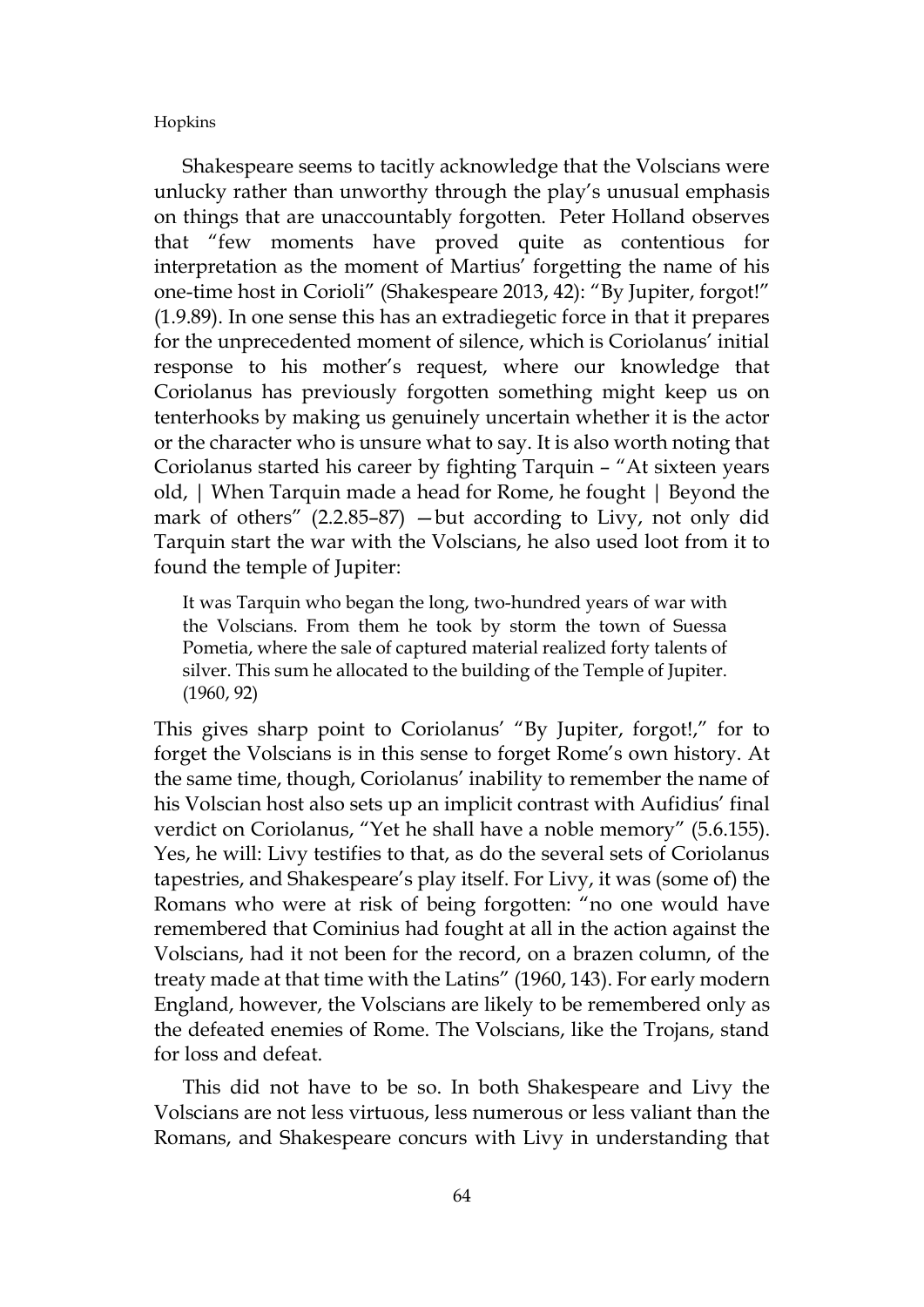Shakespeare seems to tacitly acknowledge that the Volscians were unlucky rather than unworthy through the play's unusual emphasis on things that are unaccountably forgotten. Peter Holland observes that "few moments have proved quite as contentious for interpretation as the moment of Martius' forgetting the name of his one-time host in Corioli" (Shakespeare 2013, 42): "By Jupiter, forgot!" (1.9.89). In one sense this has an extradiegetic force in that it prepares for the unprecedented moment of silence, which is Coriolanus' initial response to his mother's request, where our knowledge that Coriolanus has previously forgotten something might keep us on tenterhooks by making us genuinely uncertain whether it is the actor or the character who is unsure what to say. It is also worth noting that Coriolanus started his career by fighting Tarquin – "At sixteen years old, | When Tarquin made a head for Rome, he fought | Beyond the mark of others" (2.2.85–87) —but according to Livy, not only did Tarquin start the war with the Volscians, he also used loot from it to found the temple of Jupiter:

It was Tarquin who began the long, two-hundred years of war with the Volscians. From them he took by storm the town of Suessa Pometia, where the sale of captured material realized forty talents of silver. This sum he allocated to the building of the Temple of Jupiter. (1960, 92)

This gives sharp point to Coriolanus' "By Jupiter, forgot!," for to forget the Volscians is in this sense to forget Rome's own history. At the same time, though, Coriolanus' inability to remember the name of his Volscian host also sets up an implicit contrast with Aufidius' final verdict on Coriolanus, "Yet he shall have a noble memory" (5.6.155). Yes, he will: Livy testifies to that, as do the several sets of Coriolanus tapestries, and Shakespeare's play itself. For Livy, it was (some of) the Romans who were at risk of being forgotten: "no one would have remembered that Cominius had fought at all in the action against the Volscians, had it not been for the record, on a brazen column, of the treaty made at that time with the Latins" (1960, 143). For early modern England, however, the Volscians are likely to be remembered only as the defeated enemies of Rome. The Volscians, like the Trojans, stand for loss and defeat.

This did not have to be so. In both Shakespeare and Livy the Volscians are not less virtuous, less numerous or less valiant than the Romans, and Shakespeare concurs with Livy in understanding that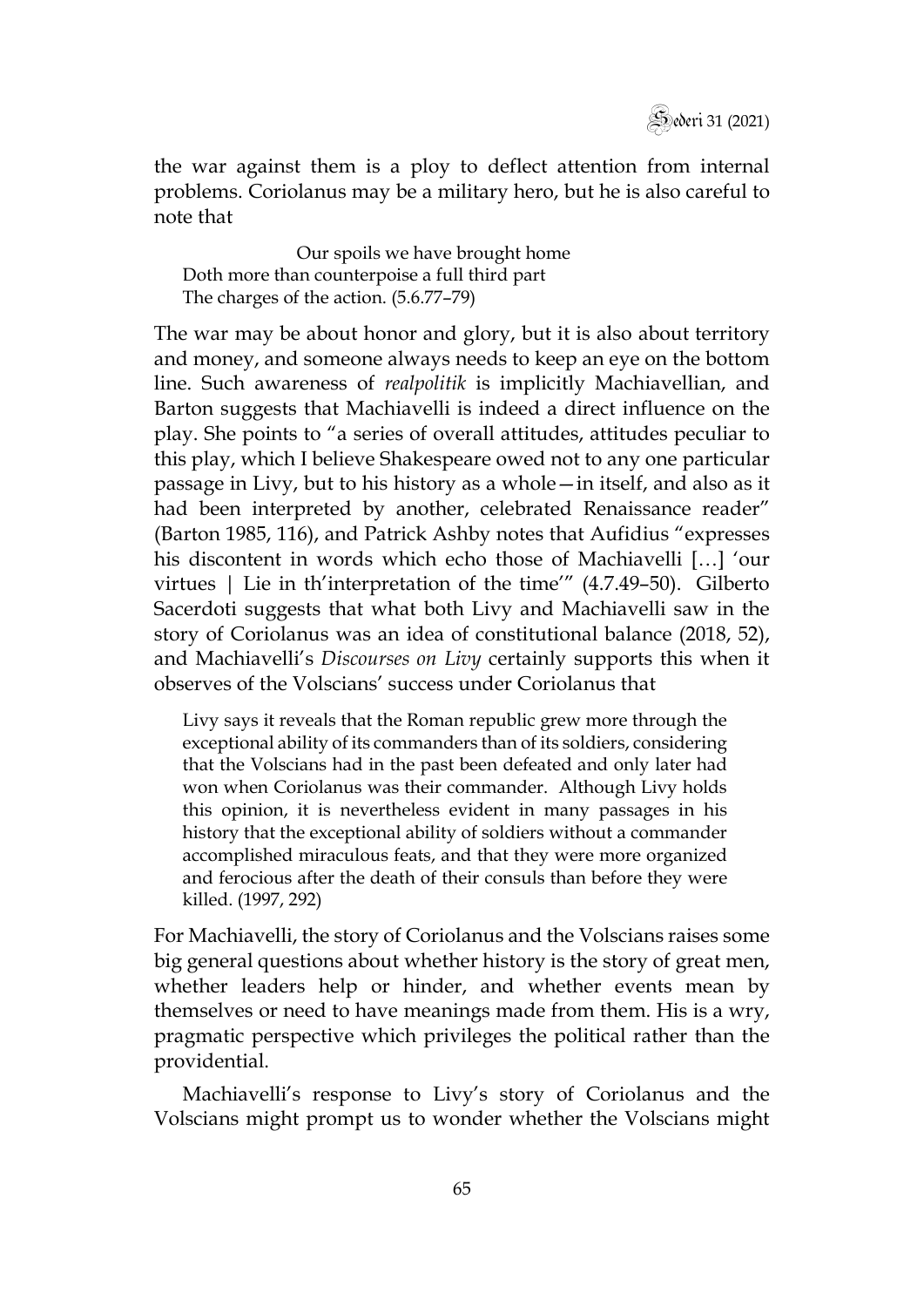

the war against them is a ploy to deflect attention from internal problems. Coriolanus may be a military hero, but he is also careful to note that

Our spoils we have brought home Doth more than counterpoise a full third part The charges of the action. (5.6.77–79)

The war may be about honor and glory, but it is also about territory and money, and someone always needs to keep an eye on the bottom line. Such awareness of *realpolitik* is implicitly Machiavellian, and Barton suggests that Machiavelli is indeed a direct influence on the play. She points to "a series of overall attitudes, attitudes peculiar to this play, which I believe Shakespeare owed not to any one particular passage in Livy, but to his history as a whole—in itself, and also as it had been interpreted by another, celebrated Renaissance reader" (Barton 1985, 116), and Patrick Ashby notes that Aufidius "expresses his discontent in words which echo those of Machiavelli […] 'our virtues | Lie in th'interpretation of the time'" (4.7.49–50). Gilberto Sacerdoti suggests that what both Livy and Machiavelli saw in the story of Coriolanus was an idea of constitutional balance (2018, 52), and Machiavelli's *Discourses on Livy* certainly supports this when it observes of the Volscians' success under Coriolanus that

Livy says it reveals that the Roman republic grew more through the exceptional ability of its commanders than of its soldiers, considering that the Volscians had in the past been defeated and only later had won when Coriolanus was their commander. Although Livy holds this opinion, it is nevertheless evident in many passages in his history that the exceptional ability of soldiers without a commander accomplished miraculous feats, and that they were more organized and ferocious after the death of their consuls than before they were killed. (1997, 292)

For Machiavelli, the story of Coriolanus and the Volscians raises some big general questions about whether history is the story of great men, whether leaders help or hinder, and whether events mean by themselves or need to have meanings made from them. His is a wry, pragmatic perspective which privileges the political rather than the providential.

Machiavelli's response to Livy's story of Coriolanus and the Volscians might prompt us to wonder whether the Volscians might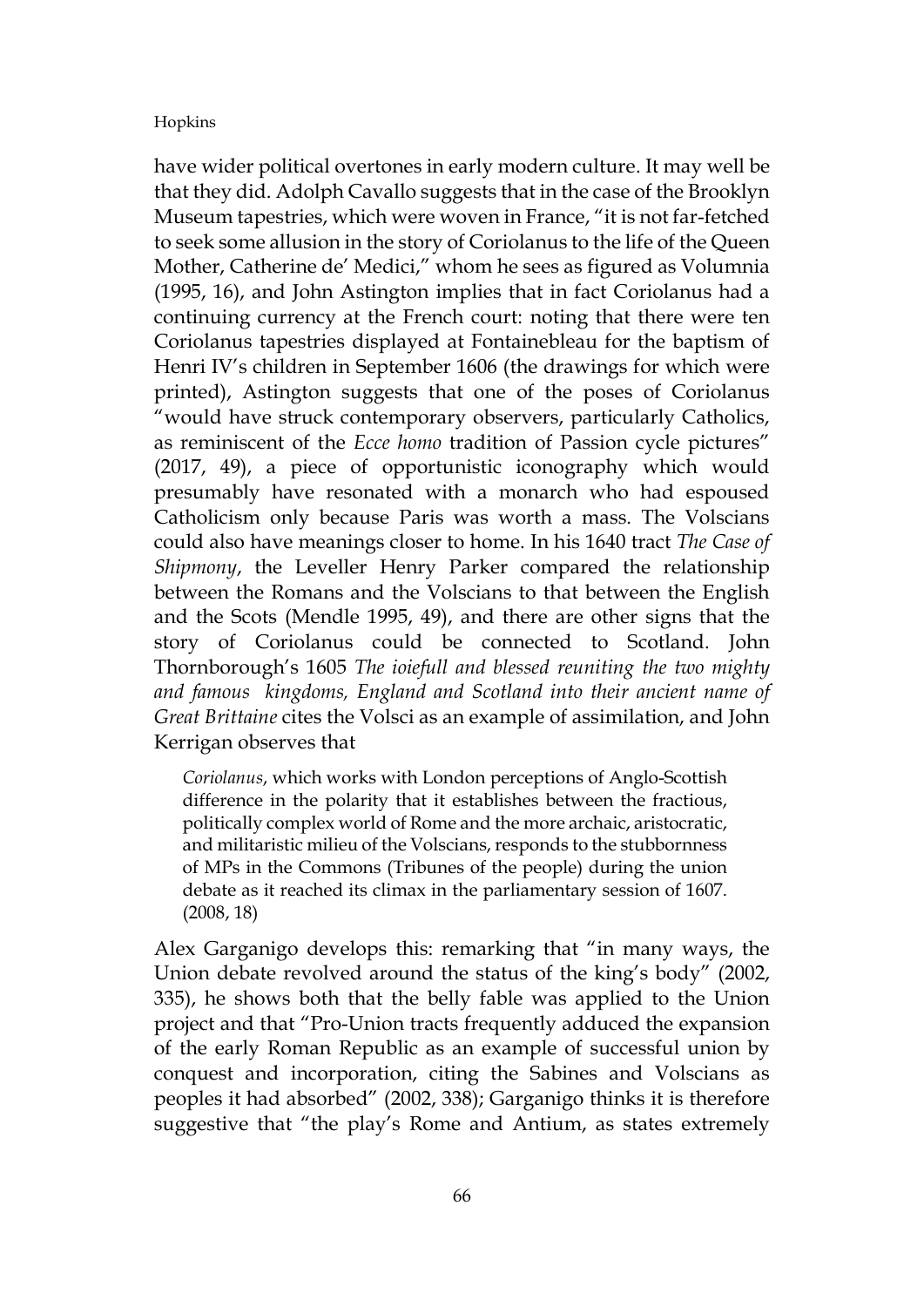have wider political overtones in early modern culture. It may well be that they did. Adolph Cavallo suggests that in the case of the Brooklyn Museum tapestries, which were woven in France, "it is not far-fetched to seek some allusion in the story of Coriolanus to the life of the Queen Mother, Catherine de' Medici," whom he sees as figured as Volumnia (1995, 16), and John Astington implies that in fact Coriolanus had a continuing currency at the French court: noting that there were ten Coriolanus tapestries displayed at Fontainebleau for the baptism of Henri IV's children in September 1606 (the drawings for which were printed), Astington suggests that one of the poses of Coriolanus "would have struck contemporary observers, particularly Catholics, as reminiscent of the *Ecce homo* tradition of Passion cycle pictures" (2017, 49), a piece of opportunistic iconography which would presumably have resonated with a monarch who had espoused Catholicism only because Paris was worth a mass. The Volscians could also have meanings closer to home. In his 1640 tract *The Case of Shipmony*, the Leveller Henry Parker compared the relationship between the Romans and the Volscians to that between the English and the Scots (Mendle 1995, 49), and there are other signs that the story of Coriolanus could be connected to Scotland. John Thornborough's 1605 *The ioiefull and blessed reuniting the two mighty and famous kingdoms, England and Scotland into their ancient name of Great Brittaine* cites the Volsci as an example of assimilation, and John Kerrigan observes that

*Coriolanus*, which works with London perceptions of Anglo-Scottish difference in the polarity that it establishes between the fractious, politically complex world of Rome and the more archaic, aristocratic, and militaristic milieu of the Volscians, responds to the stubbornness of MPs in the Commons (Tribunes of the people) during the union debate as it reached its climax in the parliamentary session of 1607. (2008, 18)

Alex Garganigo develops this: remarking that "in many ways, the Union debate revolved around the status of the king's body" (2002, 335), he shows both that the belly fable was applied to the Union project and that "Pro-Union tracts frequently adduced the expansion of the early Roman Republic as an example of successful union by conquest and incorporation, citing the Sabines and Volscians as peoples it had absorbed" (2002, 338); Garganigo thinks it is therefore suggestive that "the play's Rome and Antium, as states extremely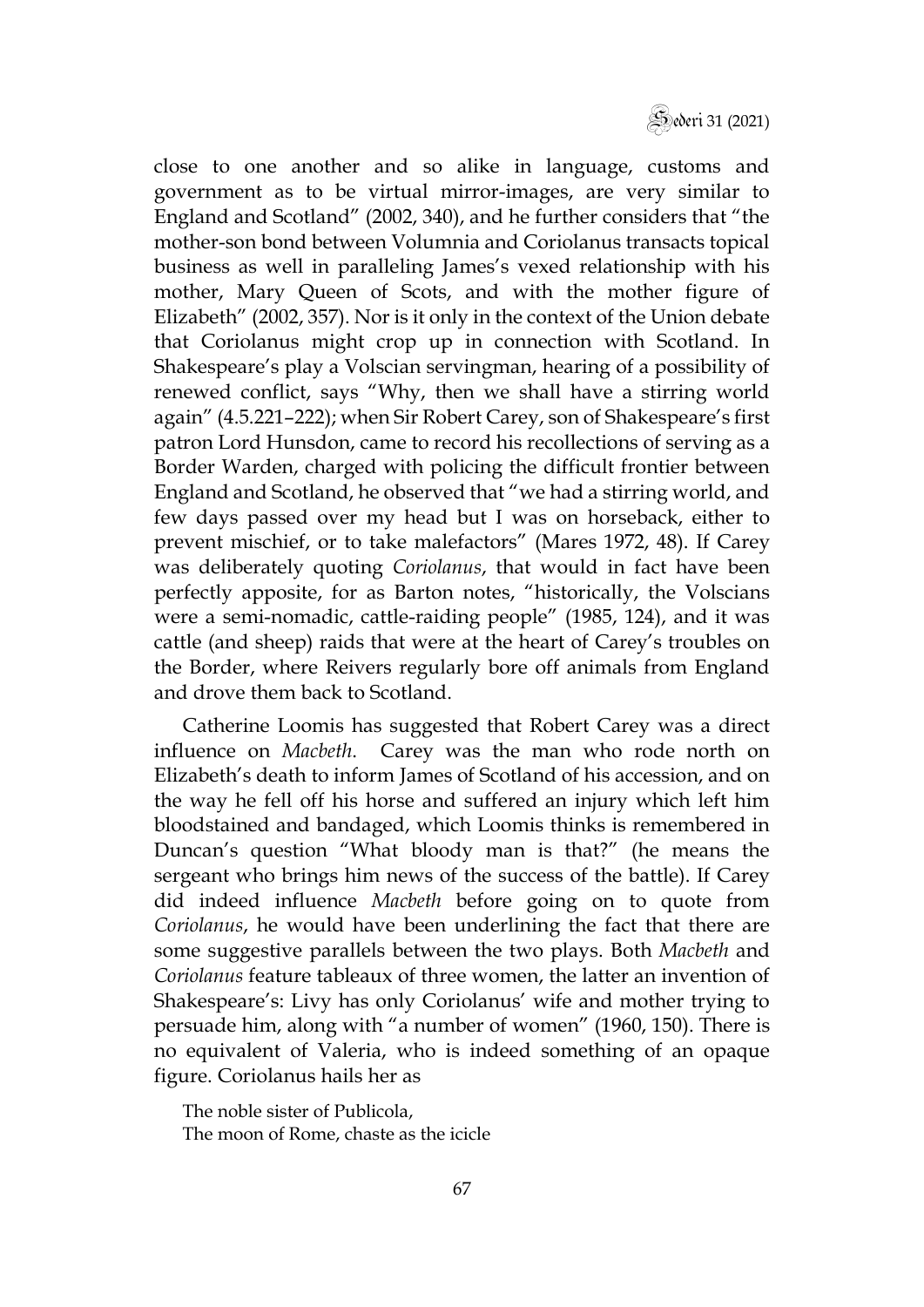

close to one another and so alike in language, customs and government as to be virtual mirror-images, are very similar to England and Scotland" (2002, 340), and he further considers that "the mother-son bond between Volumnia and Coriolanus transacts topical business as well in paralleling James's vexed relationship with his mother, Mary Queen of Scots, and with the mother figure of Elizabeth" (2002, 357). Nor is it only in the context of the Union debate that Coriolanus might crop up in connection with Scotland. In Shakespeare's play a Volscian servingman, hearing of a possibility of renewed conflict, says "Why, then we shall have a stirring world again" (4.5.221–222); when Sir Robert Carey, son of Shakespeare's first patron Lord Hunsdon, came to record his recollections of serving as a Border Warden, charged with policing the difficult frontier between England and Scotland, he observed that "we had a stirring world, and few days passed over my head but I was on horseback, either to prevent mischief, or to take malefactors" (Mares 1972, 48). If Carey was deliberately quoting *Coriolanus*, that would in fact have been perfectly apposite, for as Barton notes, "historically, the Volscians were a semi-nomadic, cattle-raiding people" (1985, 124), and it was cattle (and sheep) raids that were at the heart of Carey's troubles on the Border, where Reivers regularly bore off animals from England and drove them back to Scotland.

Catherine Loomis has suggested that Robert Carey was a direct influence on *Macbeth*. Carey was the man who rode north on Elizabeth's death to inform James of Scotland of his accession, and on the way he fell off his horse and suffered an injury which left him bloodstained and bandaged, which Loomis thinks is remembered in Duncan's question "What bloody man is that?" (he means the sergeant who brings him news of the success of the battle). If Carey did indeed influence *Macbeth* before going on to quote from *Coriolanus*, he would have been underlining the fact that there are some suggestive parallels between the two plays. Both *Macbeth* and *Coriolanus* feature tableaux of three women, the latter an invention of Shakespeare's: Livy has only Coriolanus' wife and mother trying to persuade him, along with "a number of women" (1960, 150). There is no equivalent of Valeria, who is indeed something of an opaque figure. Coriolanus hails her as

The noble sister of Publicola, The moon of Rome, chaste as the icicle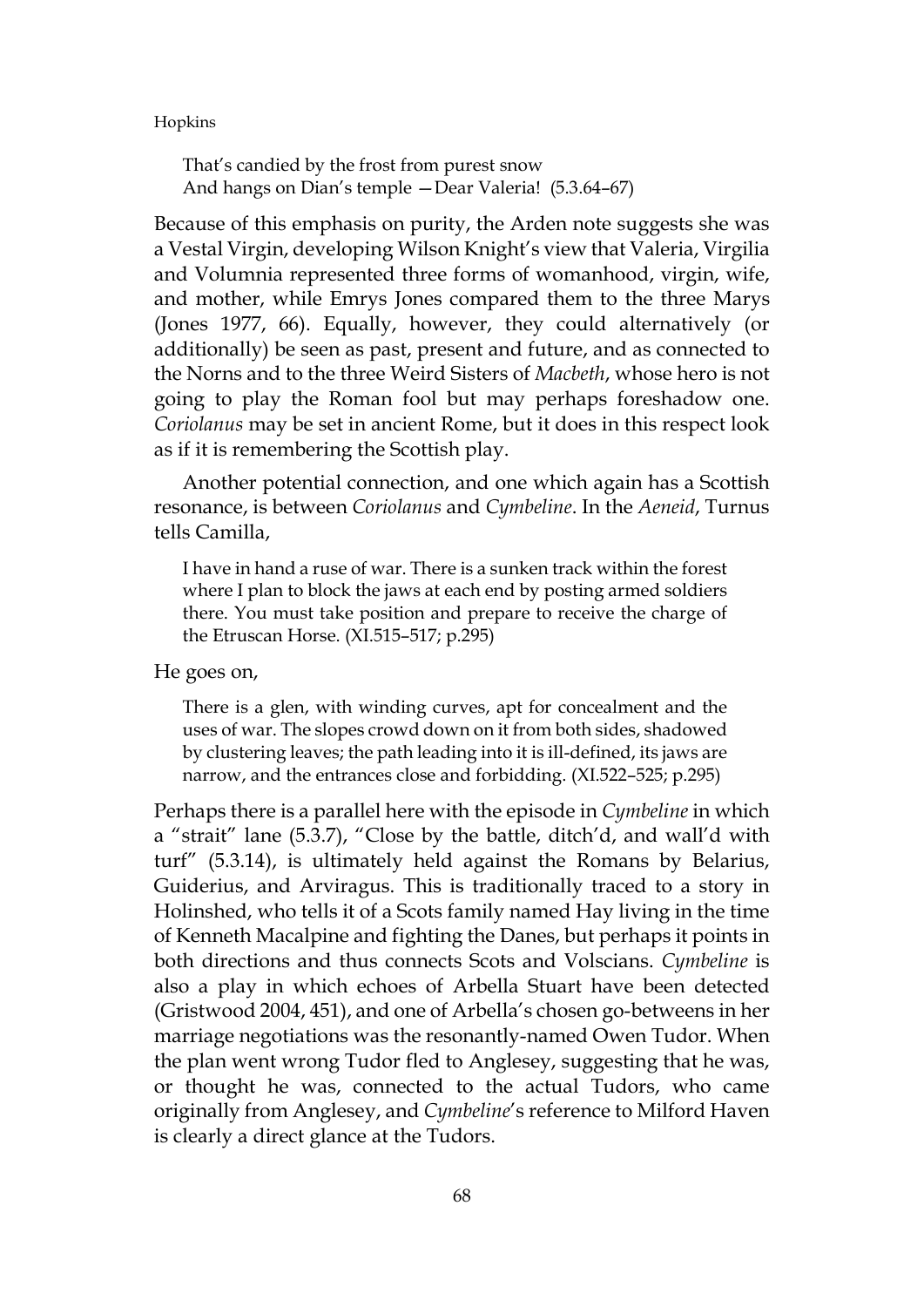That's candied by the frost from purest snow And hangs on Dian's temple —Dear Valeria! (5.3.64–67)

Because of this emphasis on purity, the Arden note suggests she was a Vestal Virgin, developing Wilson Knight's view that Valeria, Virgilia and Volumnia represented three forms of womanhood, virgin, wife, and mother, while Emrys Jones compared them to the three Marys (Jones 1977, 66). Equally, however, they could alternatively (or additionally) be seen as past, present and future, and as connected to the Norns and to the three Weird Sisters of *Macbeth*, whose hero is not going to play the Roman fool but may perhaps foreshadow one. *Coriolanus* may be set in ancient Rome, but it does in this respect look as if it is remembering the Scottish play.

Another potential connection, and one which again has a Scottish resonance, is between *Coriolanus* and *Cymbeline*. In the *Aeneid*, Turnus tells Camilla,

I have in hand a ruse of war. There is a sunken track within the forest where I plan to block the jaws at each end by posting armed soldiers there. You must take position and prepare to receive the charge of the Etruscan Horse. (XI.515–517; p.295)

He goes on,

There is a glen, with winding curves, apt for concealment and the uses of war. The slopes crowd down on it from both sides, shadowed by clustering leaves; the path leading into it is ill-defined, its jaws are narrow, and the entrances close and forbidding. (XI.522–525; p.295)

Perhaps there is a parallel here with the episode in *Cymbeline* in which a "strait" lane (5.3.7), "Close by the battle, ditch'd, and wall'd with turf" (5.3.14), is ultimately held against the Romans by Belarius, Guiderius, and Arviragus. This is traditionally traced to a story in Holinshed, who tells it of a Scots family named Hay living in the time of Kenneth Macalpine and fighting the Danes, but perhaps it points in both directions and thus connects Scots and Volscians. *Cymbeline* is also a play in which echoes of Arbella Stuart have been detected (Gristwood 2004, 451), and one of Arbella's chosen go-betweens in her marriage negotiations was the resonantly-named Owen Tudor. When the plan went wrong Tudor fled to Anglesey, suggesting that he was, or thought he was, connected to the actual Tudors, who came originally from Anglesey, and *Cymbeline*'s reference to Milford Haven is clearly a direct glance at the Tudors.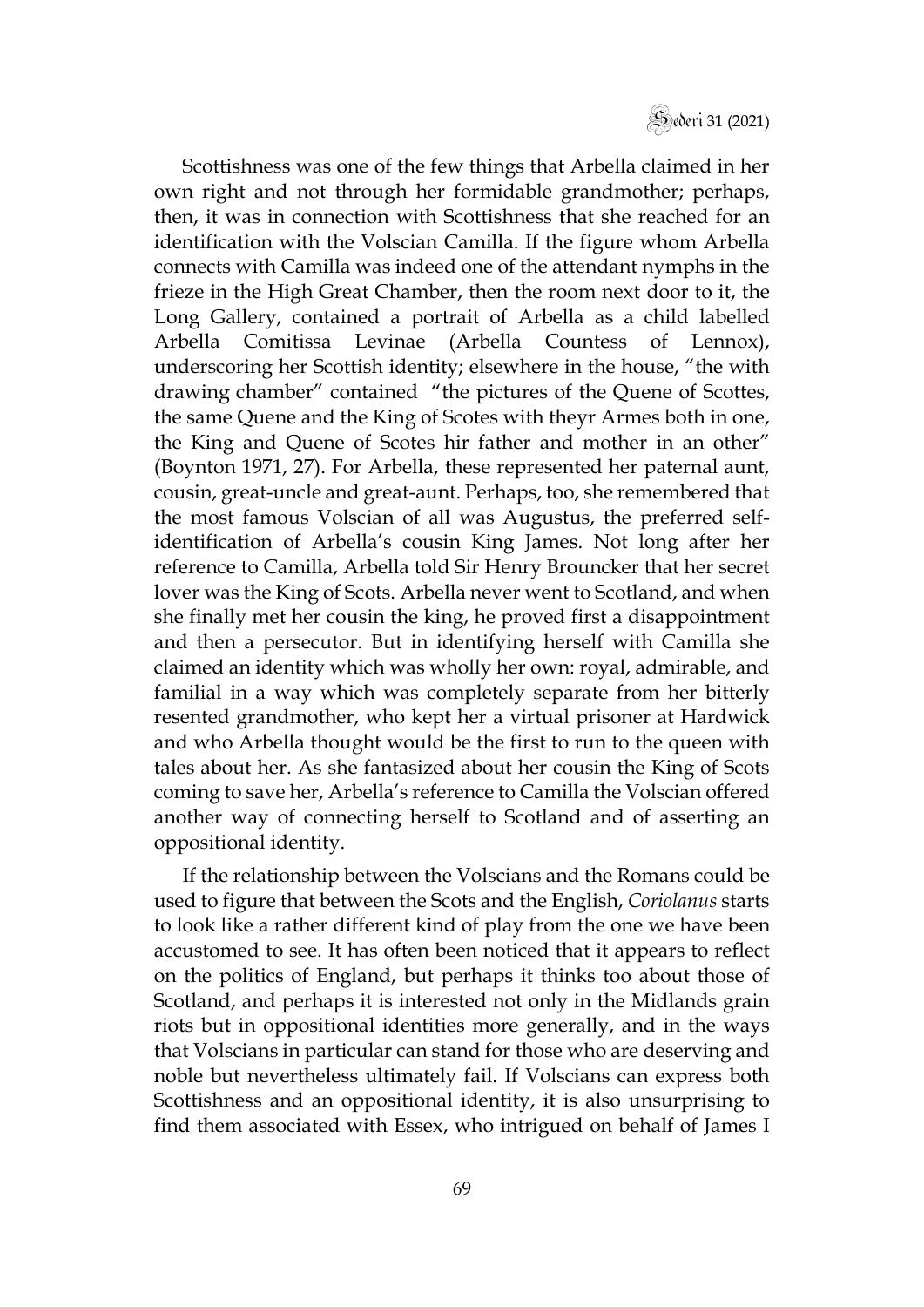Scottishness was one of the few things that Arbella claimed in her own right and not through her formidable grandmother; perhaps, then, it was in connection with Scottishness that she reached for an identification with the Volscian Camilla. If the figure whom Arbella connects with Camilla was indeed one of the attendant nymphs in the frieze in the High Great Chamber, then the room next door to it, the Long Gallery, contained a portrait of Arbella as a child labelled Arbella Comitissa Levinae (Arbella Countess of Lennox), underscoring her Scottish identity; elsewhere in the house, "the with drawing chamber" contained "the pictures of the Quene of Scottes, the same Quene and the King of Scotes with theyr Armes both in one, the King and Quene of Scotes hir father and mother in an other" (Boynton 1971, 27). For Arbella, these represented her paternal aunt, cousin, great-uncle and great-aunt. Perhaps, too, she remembered that the most famous Volscian of all was Augustus, the preferred selfidentification of Arbella's cousin King James. Not long after her reference to Camilla, Arbella told Sir Henry Brouncker that her secret lover was the King of Scots. Arbella never went to Scotland, and when she finally met her cousin the king, he proved first a disappointment and then a persecutor. But in identifying herself with Camilla she claimed an identity which was wholly her own: royal, admirable, and familial in a way which was completely separate from her bitterly resented grandmother, who kept her a virtual prisoner at Hardwick and who Arbella thought would be the first to run to the queen with tales about her. As she fantasized about her cousin the King of Scots coming to save her, Arbella's reference to Camilla the Volscian offered another way of connecting herself to Scotland and of asserting an oppositional identity.

If the relationship between the Volscians and the Romans could be used to figure that between the Scots and the English, *Coriolanus* starts to look like a rather different kind of play from the one we have been accustomed to see. It has often been noticed that it appears to reflect on the politics of England, but perhaps it thinks too about those of Scotland, and perhaps it is interested not only in the Midlands grain riots but in oppositional identities more generally, and in the ways that Volscians in particular can stand for those who are deserving and noble but nevertheless ultimately fail. If Volscians can express both Scottishness and an oppositional identity, it is also unsurprising to find them associated with Essex, who intrigued on behalf of James I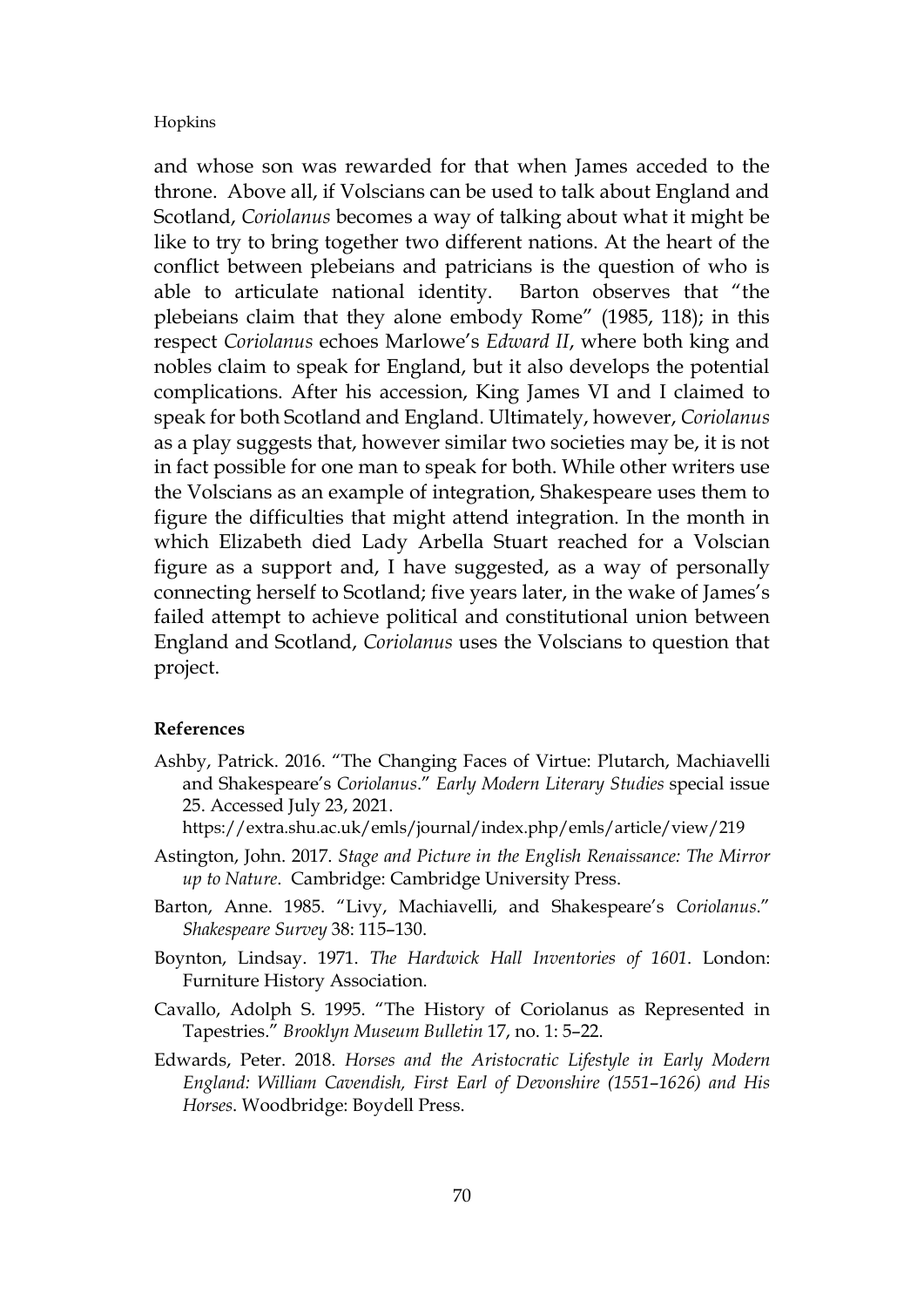and whose son was rewarded for that when James acceded to the throne. Above all, if Volscians can be used to talk about England and Scotland, *Coriolanus* becomes a way of talking about what it might be like to try to bring together two different nations. At the heart of the conflict between plebeians and patricians is the question of who is able to articulate national identity. Barton observes that "the plebeians claim that they alone embody Rome" (1985, 118); in this respect *Coriolanus* echoes Marlowe's *Edward II*, where both king and nobles claim to speak for England, but it also develops the potential complications. After his accession, King James VI and I claimed to speak for both Scotland and England. Ultimately, however, *Coriolanus* as a play suggests that, however similar two societies may be, it is not in fact possible for one man to speak for both. While other writers use the Volscians as an example of integration, Shakespeare uses them to figure the difficulties that might attend integration. In the month in which Elizabeth died Lady Arbella Stuart reached for a Volscian figure as a support and, I have suggested, as a way of personally connecting herself to Scotland; five years later, in the wake of James's failed attempt to achieve political and constitutional union between England and Scotland, *Coriolanus* uses the Volscians to question that project.

#### **References**

- Ashby, Patrick. 2016. "The Changing Faces of Virtue: Plutarch, Machiavelli and Shakespeare's *Coriolanus*." *Early Modern Literary Studies* special issue 25. Accessed July 23, 2021.
	- <https://extra.shu.ac.uk/emls/journal/index.php/emls/article/view/219>
- Astington, John. 2017. *Stage and Picture in the English Renaissance: The Mirror up to Nature*. Cambridge: Cambridge University Press.
- Barton, Anne. 1985. "Livy, Machiavelli, and Shakespeare's *Coriolanus*." *Shakespeare Survey* 38: 115–130.
- Boynton, Lindsay. 1971. *The Hardwick Hall Inventories of 1601*. London: Furniture History Association.
- Cavallo, Adolph S. 1995. "The History of Coriolanus as Represented in Tapestries." *Brooklyn Museum Bulletin* 17, no. 1: 5–22.
- Edwards, Peter. 2018. *Horses and the Aristocratic Lifestyle in Early Modern England: William Cavendish, First Earl of Devonshire (1551*–*1626) and His Horses*. Woodbridge: Boydell Press.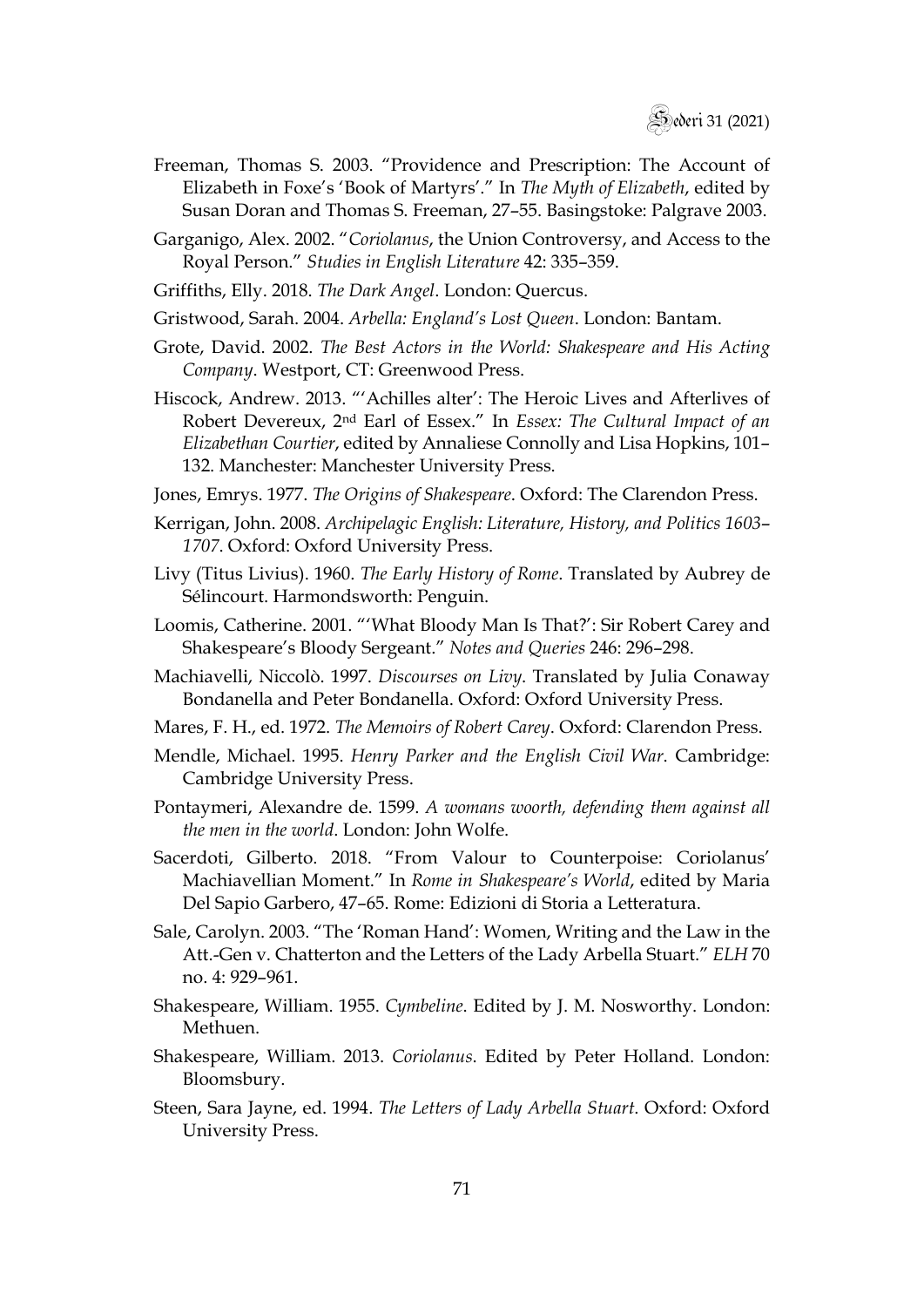- Freeman, Thomas S. 2003. "Providence and Prescription: The Account of Elizabeth in Foxe's 'Book of Martyrs'." In *The Myth of Elizabeth*, edited by Susan Doran and Thomas S. Freeman, 27–55. Basingstoke: Palgrave 2003.
- Garganigo, Alex. 2002. "*Coriolanus*, the Union Controversy, and Access to the Royal Person." *Studies in English Literature* 42: 335–359.
- Griffiths, Elly. 2018. *The Dark Angel*. London: Quercus.
- Gristwood, Sarah. 2004. *Arbella: England's Lost Queen*. London: Bantam.
- Grote, David. 2002. *The Best Actors in the World: Shakespeare and His Acting Company*. Westport, CT: Greenwood Press.
- Hiscock, Andrew. 2013. "'Achilles alter': The Heroic Lives and Afterlives of Robert Devereux, 2nd Earl of Essex." In *Essex: The Cultural Impact of an Elizabethan Courtier*, edited by Annaliese Connolly and Lisa Hopkins, 101– 132. Manchester: Manchester University Press.
- Jones, Emrys. 1977. *The Origins of Shakespeare*. Oxford: The Clarendon Press.
- Kerrigan, John. 2008. *Archipelagic English: Literature, History, and Politics 1603 1707*. Oxford: Oxford University Press.
- Livy (Titus Livius). 1960. *The Early History of Rome*. Translated by Aubrey de Sélincourt. Harmondsworth: Penguin.
- Loomis, Catherine. 2001. "'What Bloody Man Is That?': Sir Robert Carey and Shakespeare's Bloody Sergeant." *Notes and Queries* 246: 296–298.
- Machiavelli, Niccolò. 1997. *Discourses on Livy*. Translated by Julia Conaway Bondanella and Peter Bondanella. Oxford: Oxford University Press.
- Mares, F. H., ed. 1972. *The Memoirs of Robert Carey*. Oxford: Clarendon Press.
- Mendle, Michael. 1995. *Henry Parker and the English Civil War*. Cambridge: Cambridge University Press.
- Pontaymeri, Alexandre de. 1599. *A womans woorth, defending them against all the men in the world*. London: John Wolfe.
- Sacerdoti, Gilberto. 2018. "From Valour to Counterpoise: Coriolanus' Machiavellian Moment." In *Rome in Shakespeare's World*, edited by Maria Del Sapio Garbero, 47–65. Rome: Edizioni di Storia a Letteratura.
- Sale, Carolyn. 2003. "The 'Roman Hand': Women, Writing and the Law in the Att.-Gen v. Chatterton and the Letters of the Lady Arbella Stuart." *ELH* 70 no. 4: 929–961.
- Shakespeare, William. 1955. *Cymbeline*. Edited by J. M. Nosworthy. London: Methuen.
- Shakespeare, William. 2013. *Coriolanus*. Edited by Peter Holland. London: Bloomsbury.
- Steen, Sara Jayne, ed. 1994. *The Letters of Lady Arbella Stuart*. Oxford: Oxford University Press.